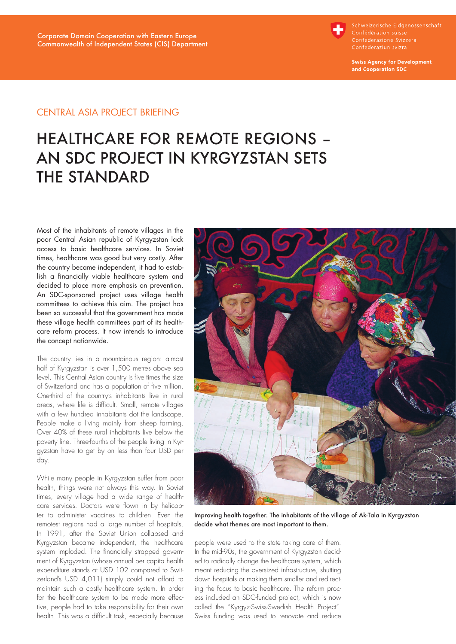

Schweizerische Eidgenossenschaft Confédération suisse

**Swiss Agency for Development** and Cooperation SDC

# Central Asia Project Briefing

# HEALTHCARE FOR REMOTE REGIONS – AN SDC PROJECT IN KYRGYZSTAN SETS THE STANDARD

Most of the inhabitants of remote villages in the poor Central Asian republic of Kyrgyzstan lack access to basic healthcare services. In Soviet times, healthcare was good but very costly. After the country became independent, it had to establish a financially viable healthcare system and decided to place more emphasis on prevention. An SDC-sponsored project uses village health committees to achieve this aim. The project has been so successful that the government has made these village health committees part of its healthcare reform process. It now intends to introduce the concept nationwide.

The country lies in a mountainous region: almost half of Kyrgyzstan is over 1,500 metres above sea level. This Central Asian country is five times the size of Switzerland and has a population of five million. One-third of the country's inhabitants live in rural areas, where life is difficult. Small, remote villages with a few hundred inhabitants dot the landscape. People make a living mainly from sheep farming. Over 40% of these rural inhabitants live below the poverty line. Three-fourths of the people living in Kyrgyzstan have to get by on less than four USD per day.

While many people in Kyrgyzstan suffer from poor health, things were not always this way. In Soviet times, every village had a wide range of healthcare services. Doctors were flown in by helicopter to administer vaccines to children. Even the remotest regions had a large number of hospitals. In 1991, after the Soviet Union collapsed and Kyrgyzstan became independent, the healthcare system imploded. The financially strapped government of Kyrgyzstan (whose annual per capita health expenditure stands at USD 102 compared to Switzerland's USD 4,011) simply could not afford to maintain such a costly healthcare system. In order for the healthcare system to be made more effective, people had to take responsibility for their own health. This was a difficult task, especially because



Improving health together. The inhabitants of the village of Ak-Tala in Kyrgyzstan decide what themes are most important to them.

people were used to the state taking care of them. In the mid-90s, the government of Kyrgyzstan decided to radically change the healthcare system, which meant reducing the oversized infrastructure, shutting down hospitals or making them smaller and redirecting the focus to basic healthcare. The reform process included an SDC-funded project, which is now called the "Kyrgyz-Swiss-Swedish Health Project". Swiss funding was used to renovate and reduce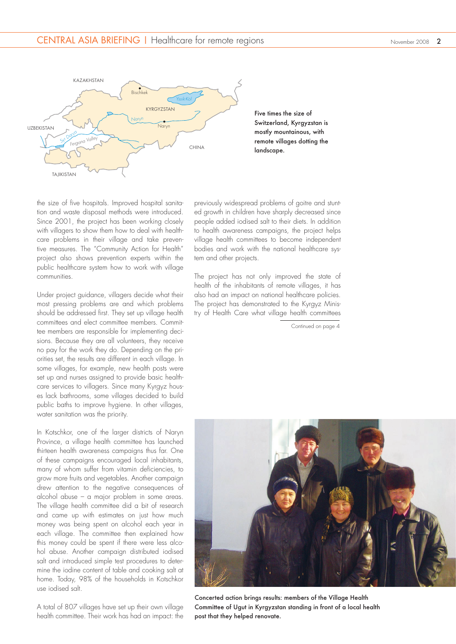

Five times the size of Switzerland, Kyrgyzstan is mostly mountainous, with remote villages dotting the landscape.

the size of five hospitals. Improved hospital sanitation and waste disposal methods were introduced. Since 2001, the project has been working closely with villagers to show them how to deal with healthcare problems in their village and take preventive measures. The "Community Action for Health" project also shows prevention experts within the public healthcare system how to work with village communities.

Under project guidance, villagers decide what their most pressing problems are and which problems should be addressed first. They set up village health committees and elect committee members. Committee members are responsible for implementing decisions. Because they are all volunteers, they receive no pay for the work they do. Depending on the priorities set, the results are different in each village. In some villages, for example, new health posts were set up and nurses assigned to provide basic healthcare services to villagers. Since many Kyrgyz houses lack bathrooms, some villages decided to build public baths to improve hygiene. In other villages, water sanitation was the priority.

In Kotschkor, one of the larger districts of Naryn Province, a village health committee has launched thirteen health awareness campaigns thus far. One of these campaigns encouraged local inhabitants, many of whom suffer from vitamin deficiencies, to grow more fruits and vegetables. Another campaign drew attention to the negative consequences of alcohol abuse – a major problem in some areas. The village health committee did a bit of research and came up with estimates on just how much money was being spent on alcohol each year in each village. The committee then explained how this money could be spent if there were less alcohol abuse. Another campaign distributed iodised salt and introduced simple test procedures to determine the iodine content of table and cooking salt at home. Today, 98% of the households in Kotschkor use iodised salt.

A total of 807 villages have set up their own village health committee. Their work has had an impact: the previously widespread problems of goitre and stunted growth in children have sharply decreased since people added iodised salt to their diets. In addition to health awareness campaigns, the project helps village health committees to become independent bodies and work with the national healthcare system and other projects.

The project has not only improved the state of health of the inhabitants of remote villages, it has also had an impact on national healthcare policies. The project has demonstrated to the Kyrgyz Ministry of Health Care what village health committees

Continued on page 4



Concerted action brings results: members of the Village Health Committee of Ugut in Kyrgyzstan standing in front of a local health post that they helped renovate.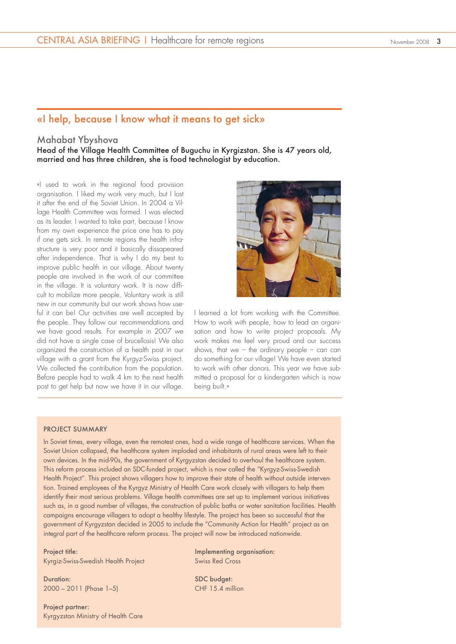# «I help, because I know what it means to get sick»

## Mahabat Ybyshova

Head of the Village Health Committee of Buguchu in Kyrgizstan. She is 47 years old, married and has three children, she is food technologist by education.

«I used to work in the regional food provision organisation. I liked my work very much, but I lost it after the end of the Soviet Union. In 2004 a Village Health Committee was formed. I was elected as its leader. I wanted to take part, because I know from my own experience the price one has to pay if one gets sick. In remote regions the health infrastructure is very poor and it basically dissapeared after independence. That is why I do my best to improve public health in our village. About twenty people are involved in the work of our committee in the village. It is voluntary work. It is now difficult to mobilize more people. Voluntary work is still new in our community but our work shows how useful it can be! Our activities are well accepted by the people. They follow our recommendations and we have good results. For example in 2007 we did not have a single case of brucellosis! We also organized the construction of a health post in our village with a grant from the Kyrgyz-Swiss project. We collected the contribution from the population. Before people had to walk 4 km to the next health post to get help but now we have it in our village.



I learned a lot from working with the Committee. How to work with people, how to lead an organisation and how to write project proposals. My work makes me feel very proud and our success shows, that we – the ordinary people – can can do something for our village! We have even started to work with other donors. This year we have submitted a proposal for a kindergarten which is now being built.»

#### PROJECT SUMMARY

In Soviet times, every village, even the remotest ones, had a wide range of healthcare services. When the Soviet Union collapsed, the healthcare system imploded and inhabitants of rural areas were left to their own devices. In the mid-90s, the government of Kyrgyzstan decided to overhaul the healthcare system. This reform process included an SDC-funded project, which is now called the "Kyrgyz-Swiss-Swedish Health Project". This project shows villagers how to improve their state of health without outside intervention. Trained employees of the Kyrgyz Ministry of Health Care work closely with villagers to help them identify their most serious problems. Village health committees are set up to implement various initiatives such as, in a good number of villages, the construction of public baths or water sanitation facilities. Health campaigns encourage villagers to adopt a healthy lifestyle. The project has been so successful that the government of Kyrgyzstan decided in 2005 to include the "Community Action for Health" project as an integral part of the healthcare reform process. The project will now be introduced nationwide.

Project title: Kyrgiz-Swiss-Swedish Health Project

Duration: 2000 – 2011 (Phase 1–5)

Project partner: Kyrgyzstan Ministry of Health Care Implementing organisation: Swiss Red Cross

SDC budget: CHF 15.4 million